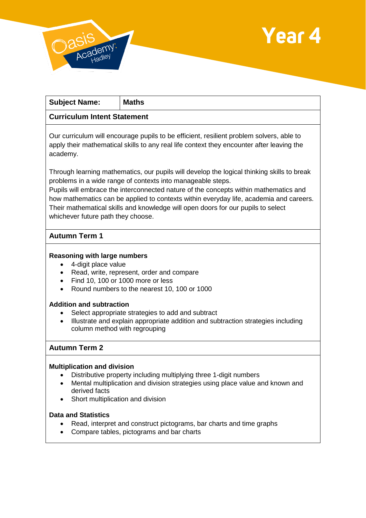



| <b>Subject Name:</b>                                                                                                                                                                                                                                                                                                                        | Maths |
|---------------------------------------------------------------------------------------------------------------------------------------------------------------------------------------------------------------------------------------------------------------------------------------------------------------------------------------------|-------|
| <b>Curriculum Intent Statement</b>                                                                                                                                                                                                                                                                                                          |       |
| Our curriculum will encourage pupils to be efficient, resilient problem solvers, able to<br>apply their mathematical skills to any real life context they encounter after leaving the<br>academy.                                                                                                                                           |       |
| Through learning mathematics, our pupils will develop the logical thinking skills to break<br>problems in a wide range of contexts into manageable steps.<br>Pupils will embrace the interconnected nature of the concepts within mathematics and<br>how mathematics can be applied to contexts within everyday life, academia and careers. |       |

Their mathematical skills and knowledge will open doors for our pupils to select whichever future path they choose.

## **Autumn Term 1**

### **Reasoning with large numbers**

- 4-digit place value
- Read, write, represent, order and compare
- Find 10, 100 or 1000 more or less
- Round numbers to the nearest 10, 100 or 1000

#### **Addition and subtraction**

- Select appropriate strategies to add and subtract
- Illustrate and explain appropriate addition and subtraction strategies including column method with regrouping

### **Autumn Term 2**

### **Multiplication and division**

- Distributive property including multiplying three 1-digit numbers
- Mental multiplication and division strategies using place value and known and derived facts
- Short multiplication and division

#### **Data and Statistics**

- Read, interpret and construct pictograms, bar charts and time graphs
- Compare tables, pictograms and bar charts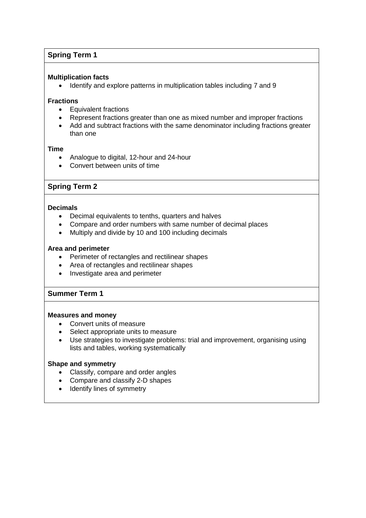## **Spring Term 1**

### **Multiplication facts**

• Identify and explore patterns in multiplication tables including 7 and 9

### **Fractions**

- Equivalent fractions
- Represent fractions greater than one as mixed number and improper fractions
- Add and subtract fractions with the same denominator including fractions greater than one

### **Time**

- Analogue to digital, 12-hour and 24-hour
- Convert between units of time

### **Spring Term 2**

### **Decimals**

- Decimal equivalents to tenths, quarters and halves
- Compare and order numbers with same number of decimal places
- Multiply and divide by 10 and 100 including decimals

#### **Area and perimeter**

- Perimeter of rectangles and rectilinear shapes
- Area of rectangles and rectilinear shapes
- Investigate area and perimeter

# **Summer Term 1**

### **Measures and money**

- Convert units of measure
- Select appropriate units to measure
- Use strategies to investigate problems: trial and improvement, organising using lists and tables, working systematically

### **Shape and symmetry**

- Classify, compare and order angles
- Compare and classify 2-D shapes
- Identify lines of symmetry